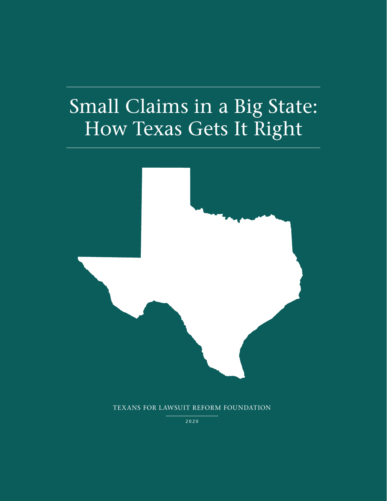# Small Claims in a Big State: How Texas Gets It Right



TEXANS FOR LAWSUIT REFORM FOUNDATION

2020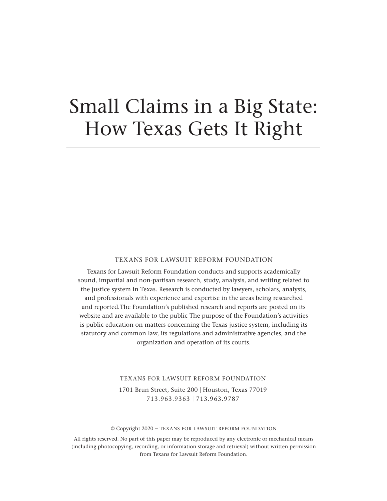## Small Claims in a Big State: How Texas Gets It Right

#### TEXANS FOR LAWSUIT REFORM FOUNDATION

Texans for Lawsuit Reform Foundation conducts and supports academically sound, impartial and non-partisan research, study, analysis, and writing related to the justice system in Texas. Research is conducted by lawyers, scholars, analysts, and professionals with experience and expertise in the areas being researched and reported. The Foundation's published research and reports are posted on its website and are available to the public. The purpose of the Foundation's activities is public education on matters concerning the Texas justice system, including its statutory and common law, its regulations and administrative agencies, and the organization and operation of its courts.

> TEXANS FOR LAWSUIT REFORM FOUNDATION 1701 Brun Street, Suite 200 | Houston, Texas 77019 713.963.9363 | 713.963.9787

<sup>©</sup> Copyright 2020 – TEXANS FOR LAWSUIT REFORM FOUNDATION

All rights reserved. No part of this paper may be reproduced by any electronic or mechanical means (including photocopying, recording, or information storage and retrieval) without written permission from Texans for Lawsuit Reform Foundation.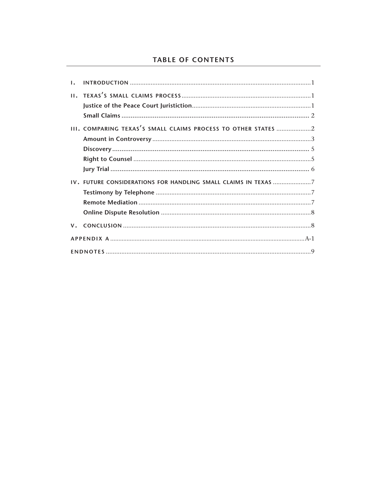## **TABLE OF CONTENTS**

| Τ. |                                                                |  |
|----|----------------------------------------------------------------|--|
|    |                                                                |  |
|    |                                                                |  |
|    |                                                                |  |
|    | III. COMPARING TEXAS'S SMALL CLAIMS PROCESS TO OTHER STATES 2  |  |
|    |                                                                |  |
|    |                                                                |  |
|    |                                                                |  |
|    |                                                                |  |
|    | IV. FUTURE CONSIDERATIONS FOR HANDLING SMALL CLAIMS IN TEXAS 7 |  |
|    |                                                                |  |
|    |                                                                |  |
|    |                                                                |  |
|    |                                                                |  |
|    |                                                                |  |
|    |                                                                |  |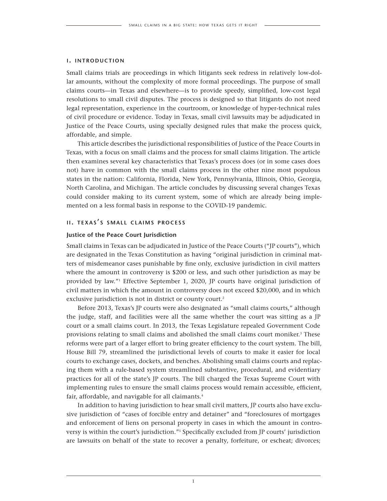#### **i. introduction**

Small claims trials are proceedings in which litigants seek redress in relatively low-dollar amounts, without the complexity of more formal proceedings. The purpose of small claims courts—in Texas and elsewhere—is to provide speedy, simplified, low-cost legal resolutions to small civil disputes. The process is designed so that litigants do not need legal representation, experience in the courtroom, or knowledge of hyper-technical rules of civil procedure or evidence. Today in Texas, small civil lawsuits may be adjudicated in Justice of the Peace Courts, using specially designed rules that make the process quick, affordable, and simple.

This article describes the jurisdictional responsibilities of Justice of the Peace Courts in Texas, with a focus on small claims and the process for small claims litigation. The article then examines several key characteristics that Texas's process does (or in some cases does not) have in common with the small claims process in the other nine most populous states in the nation: California, Florida, New York, Pennsylvania, Illinois, Ohio, Georgia, North Carolina, and Michigan. The article concludes by discussing several changes Texas could consider making to its current system, some of which are already being implemented on a less formal basis in response to the COVID-19 pandemic.

#### **ii. texas ' <sup>s</sup> small claims process**

#### **Justice of the Peace Court Jurisdiction**

Small claims in Texas can be adjudicated in Justice of the Peace Courts ("JP courts"), which are designated in the Texas Constitution as having "original jurisdiction in criminal matters of misdemeanor cases punishable by fine only, exclusive jurisdiction in civil matters where the amount in controversy is \$200 or less, and such other jurisdiction as may be provided by law."1 Effective September 1, 2020, JP courts have original jurisdiction of civil matters in which the amount in controversy does not exceed \$20,000, and in which exclusive jurisdiction is not in district or county court.<sup>2</sup>

Before 2013, Texas's JP courts were also designated as "small claims courts," although the judge, staff, and facilities were all the same whether the court was sitting as a JP court or a small claims court. In 2013, the Texas Legislature repealed Government Code provisions relating to small claims and abolished the small claims court moniker.<sup>3</sup> These reforms were part of a larger effort to bring greater efficiency to the court system. The bill, House Bill 79, streamlined the jurisdictional levels of courts to make it easier for local courts to exchange cases, dockets, and benches. Abolishing small claims courts and replacing them with a rule-based system streamlined substantive, procedural, and evidentiary practices for all of the state's JP courts. The bill charged the Texas Supreme Court with implementing rules to ensure the small claims process would remain accessible, efficient, fair, affordable, and navigable for all claimants.<sup>4</sup>

In addition to having jurisdiction to hear small civil matters, JP courts also have exclusive jurisdiction of "cases of forcible entry and detainer" and "foreclosures of mortgages and enforcement of liens on personal property in cases in which the amount in controversy is within the court's jurisdiction."5 Specifically excluded from JP courts' jurisdiction are lawsuits on behalf of the state to recover a penalty, forfeiture, or escheat; divorces;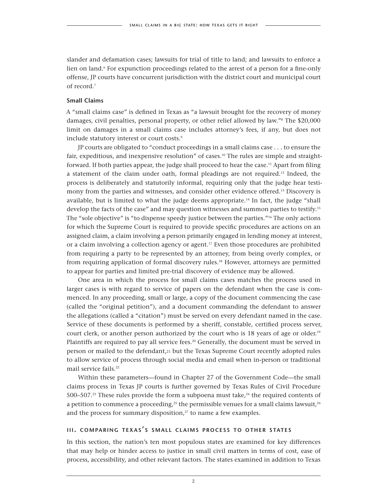slander and defamation cases; lawsuits for trial of title to land; and lawsuits to enforce a lien on land.<sup>6</sup> For expunction proceedings related to the arrest of a person for a fine-only offense, JP courts have concurrent jurisdiction with the district court and municipal court of record.7

#### **Small Claims**

A "small claims case" is defined in Texas as "a lawsuit brought for the recovery of money damages, civil penalties, personal property, or other relief allowed by law."8 The \$20,000 limit on damages in a small claims case includes attorney's fees, if any, but does not include statutory interest or court costs.<sup>9</sup>

JP courts are obligated to "conduct proceedings in a small claims case . . . to ensure the fair, expeditious, and inexpensive resolution" of cases.<sup>10</sup> The rules are simple and straightforward. If both parties appear, the judge shall proceed to hear the case.<sup>11</sup> Apart from filing a statement of the claim under oath, formal pleadings are not required.12 Indeed, the process is deliberately and statutorily informal, requiring only that the judge hear testimony from the parties and witnesses, and consider other evidence offered.13 Discovery is available, but is limited to what the judge deems appropriate.<sup>14</sup> In fact, the judge "shall develop the facts of the case" and may question witnesses and summon parties to testify.<sup>15</sup> The "sole objective" is "to dispense speedy justice between the parties."<sup>16</sup> The only actions for which the Supreme Court is required to provide specific procedures are actions on an assigned claim, a claim involving a person primarily engaged in lending money at interest, or a claim involving a collection agency or agent.<sup>17</sup> Even those procedures are prohibited from requiring a party to be represented by an attorney, from being overly complex, or from requiring application of formal discovery rules.18 However, attorneys are permitted to appear for parties and limited pre-trial discovery of evidence may be allowed.

One area in which the process for small claims cases matches the process used in larger cases is with regard to service of papers on the defendant when the case is commenced. In any proceeding, small or large, a copy of the document commencing the case (called the "original petition"), and a document commanding the defendant to answer the allegations (called a "citation") must be served on every defendant named in the case. Service of these documents is performed by a sheriff, constable, certified process server, court clerk, or another person authorized by the court who is 18 years of age or older.<sup>19</sup> Plaintiffs are required to pay all service fees.<sup>20</sup> Generally, the document must be served in person or mailed to the defendant,21 but the Texas Supreme Court recently adopted rules to allow service of process through social media and email when in-person or traditional mail service fails.<sup>22</sup>

Within these parameters—found in Chapter 27 of the Government Code—the small claims process in Texas JP courts is further governed by Texas Rules of Civil Procedure 500–507.<sup>23</sup> These rules provide the form a subpoena must take,<sup>24</sup> the required contents of a petition to commence a proceeding,<sup>25</sup> the permissible venues for a small claims lawsuit,<sup>26</sup> and the process for summary disposition, $27$  to name a few examples.

#### **iii. comparing texas ' s small claims process to other states**

In this section, the nation's ten most populous states are examined for key differences that may help or hinder access to justice in small civil matters in terms of cost, ease of process, accessibility, and other relevant factors. The states examined in addition to Texas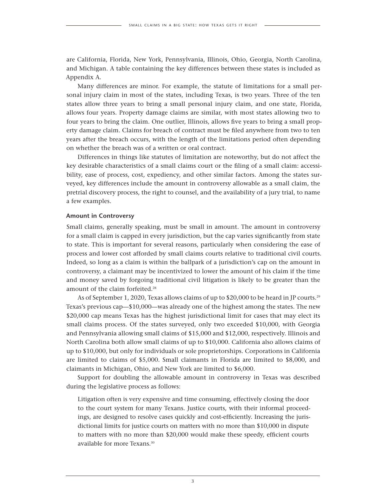are California, Florida, New York, Pennsylvania, Illinois, Ohio, Georgia, North Carolina, and Michigan. A table containing the key differences between these states is included as Appendix A.

Many differences are minor. For example, the statute of limitations for a small personal injury claim in most of the states, including Texas, is two years. Three of the ten states allow three years to bring a small personal injury claim, and one state, Florida, allows four years. Property damage claims are similar, with most states allowing two to four years to bring the claim. One outlier, Illinois, allows five years to bring a small property damage claim. Claims for breach of contract must be filed anywhere from two to ten years after the breach occurs, with the length of the limitations period often depending on whether the breach was of a written or oral contract.

Differences in things like statutes of limitation are noteworthy, but do not affect the key desirable characteristics of a small claims court or the filing of a small claim: accessibility, ease of process, cost, expediency, and other similar factors. Among the states surveyed, key differences include the amount in controversy allowable as a small claim, the pretrial discovery process, the right to counsel, and the availability of a jury trial, to name a few examples.

#### **Amount in Controversy**

Small claims, generally speaking, must be small in amount. The amount in controversy for a small claim is capped in every jurisdiction, but the cap varies significantly from state to state. This is important for several reasons, particularly when considering the ease of process and lower cost afforded by small claims courts relative to traditional civil courts. Indeed, so long as a claim is within the ballpark of a jurisdiction's cap on the amount in controversy, a claimant may be incentivized to lower the amount of his claim if the time and money saved by forgoing traditional civil litigation is likely to be greater than the amount of the claim forfeited.<sup>28</sup>

As of September 1, 2020, Texas allows claims of up to \$20,000 to be heard in JP courts.<sup>29</sup> Texas's previous cap—\$10,000—was already one of the highest among the states. The new \$20,000 cap means Texas has the highest jurisdictional limit for cases that may elect its small claims process. Of the states surveyed, only two exceeded \$10,000, with Georgia and Pennsylvania allowing small claims of \$15,000 and \$12,000, respectively. Illinois and North Carolina both allow small claims of up to \$10,000. California also allows claims of up to \$10,000, but only for individuals or sole proprietorships. Corporations in California are limited to claims of \$5,000. Small claimants in Florida are limited to \$8,000, and claimants in Michigan, Ohio, and New York are limited to \$6,000.

Support for doubling the allowable amount in controversy in Texas was described during the legislative process as follows:

Litigation often is very expensive and time consuming, effectively closing the door to the court system for many Texans. Justice courts, with their informal proceedings, are designed to resolve cases quickly and cost-efficiently. Increasing the jurisdictional limits for justice courts on matters with no more than \$10,000 in dispute to matters with no more than \$20,000 would make these speedy, efficient courts available for more Texans.<sup>30</sup>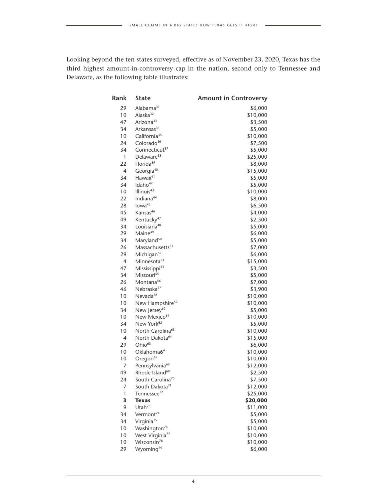Looking beyond the ten states surveyed, effective as of November 23, 2020, Texas has the third highest amount-in-controversy cap in the nation, second only to Tennessee and Delaware, as the following table illustrates:

| Rank           | <b>State</b>                                            | <b>Amount in Controversy</b> |
|----------------|---------------------------------------------------------|------------------------------|
| 29             | Alabama <sup>31</sup>                                   | \$6,000                      |
| 10             | Alaska <sup>32</sup>                                    | \$10,000                     |
| 47             | Arizona <sup>33</sup>                                   | \$3,500                      |
| 34             | Arkansas <sup>34</sup>                                  | \$5,000                      |
| 10             | California <sup>35</sup>                                | \$10,000                     |
| 24             | Colorado <sup>36</sup>                                  | \$7,500                      |
| 34             | Connecticut <sup>37</sup>                               | \$5,000                      |
| 1              | Delaware <sup>38</sup>                                  | \$25,000                     |
| 22             | Florida <sup>39</sup>                                   | \$8,000                      |
| 4              | Georgia <sup>40</sup>                                   | \$15,000                     |
| 34             | Hawaii <sup>41</sup>                                    | \$5,000                      |
| 34             | Idaho <sup>42</sup>                                     | \$5,000                      |
| 10             | Illinois <sup>43</sup>                                  | \$10,000                     |
| 22             | Indiana <sup>44</sup>                                   | \$8,000                      |
| 28             | lowa <sup>45</sup>                                      | \$6,500                      |
| 45             | Kansas <sup>46</sup>                                    | \$4,000                      |
| 49             | Kentucky <sup>47</sup>                                  | \$2,500                      |
| 34             | Louisiana <sup>48</sup>                                 | \$5,000                      |
| 29             | Maine <sup>49</sup>                                     | \$6,000                      |
| 34             | Maryland <sup>50</sup>                                  | \$5,000                      |
| 26             | Massachusetts <sup>51</sup>                             | \$7,000                      |
| 29             | Michigan <sup>52</sup>                                  | \$6,000                      |
| $\overline{4}$ | Minnesota <sup>53</sup>                                 | \$15,000                     |
| 47             | Mississippi <sup>54</sup>                               | \$3,500                      |
| 34             | Missouri <sup>55</sup>                                  | \$5,000                      |
| 26             | Montana <sup>56</sup>                                   | \$7,000                      |
| 46             | Nebraska <sup>57</sup>                                  | \$3,900                      |
| 10             | Nevada <sup>58</sup>                                    | \$10,000                     |
| 10             | New Hampshire <sup>59</sup>                             | \$10,000                     |
| 34             | New Jersey <sup>60</sup>                                | \$5,000                      |
| 10             | New Mexico <sup>61</sup>                                | \$10,000                     |
| 34             | New York <sup>62</sup>                                  | \$5,000                      |
| 10             | North Carolina <sup>63</sup>                            | \$10,000                     |
| 4              | North Dakota <sup>64</sup>                              | \$15,000                     |
| 29             | Ohio <sup>65</sup>                                      | \$6,000                      |
| 10             | Oklahoma6 <sup>6</sup>                                  | \$10,000                     |
| 10             | Oregon <sup>67</sup>                                    | \$10,000                     |
| 7              | Pennsylvania <sup>68</sup>                              | \$12,000                     |
| 49             | Rhode Island <sup>69</sup>                              | \$2,500                      |
| 24             | South Carolina <sup>70</sup>                            | \$7,500                      |
| 7              | South Dakota <sup>71</sup>                              | \$12,000                     |
| 1              | Tennessee <sup>72</sup>                                 | \$25,000                     |
| 3              | <b>Texas</b>                                            | \$20,000                     |
| 9              | Utah $73$                                               | \$11,000                     |
| 34             | Vermont <sup>74</sup>                                   | \$5,000                      |
| 34<br>10       | Virginia <sup>75</sup>                                  | \$5,000                      |
| 10             | Washington <sup>76</sup><br>West Virginia <sup>77</sup> | \$10,000                     |
| 10             | Wisconsin <sup>78</sup>                                 | \$10,000                     |
| 29             | Wyoming <sup>79</sup>                                   | \$10,000                     |
|                |                                                         | \$6,000                      |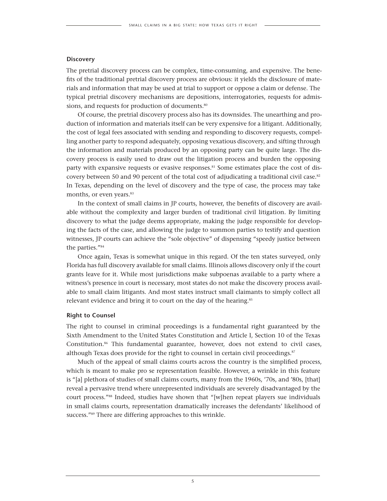#### **Discovery**

The pretrial discovery process can be complex, time-consuming, and expensive. The benefits of the traditional pretrial discovery process are obvious: it yields the disclosure of materials and information that may be used at trial to support or oppose a claim or defense. The typical pretrial discovery mechanisms are depositions, interrogatories, requests for admissions, and requests for production of documents.<sup>80</sup>

Of course, the pretrial discovery process also has its downsides. The unearthing and production of information and materials itself can be very expensive for a litigant. Additionally, the cost of legal fees associated with sending and responding to discovery requests, compelling another party to respond adequately, opposing vexatious discovery, and sifting through the information and materials produced by an opposing party can be quite large. The discovery process is easily used to draw out the litigation process and burden the opposing party with expansive requests or evasive responses.<sup>81</sup> Some estimates place the cost of discovery between 50 and 90 percent of the total cost of adjudicating a traditional civil case.<sup>82</sup> In Texas, depending on the level of discovery and the type of case, the process may take months, or even years.<sup>83</sup>

In the context of small claims in JP courts, however, the benefits of discovery are available without the complexity and larger burden of traditional civil litigation. By limiting discovery to what the judge deems appropriate, making the judge responsible for developing the facts of the case, and allowing the judge to summon parties to testify and question witnesses, JP courts can achieve the "sole objective" of dispensing "speedy justice between the parties."84

Once again, Texas is somewhat unique in this regard. Of the ten states surveyed, only Florida has full discovery available for small claims. Illinois allows discovery only if the court grants leave for it. While most jurisdictions make subpoenas available to a party where a witness's presence in court is necessary, most states do not make the discovery process available to small claim litigants. And most states instruct small claimants to simply collect all relevant evidence and bring it to court on the day of the hearing.<sup>85</sup>

#### **Right to Counsel**

The right to counsel in criminal proceedings is a fundamental right guaranteed by the Sixth Amendment to the United States Constitution and Article I, Section 10 of the Texas Constitution.86 This fundamental guarantee, however, does not extend to civil cases, although Texas does provide for the right to counsel in certain civil proceedings. $s<sup>87</sup>$ 

Much of the appeal of small claims courts across the country is the simplified process, which is meant to make pro se representation feasible. However, a wrinkle in this feature is "[a] plethora of studies of small claims courts, many from the 1960s, '70s, and '80s, [that] reveal a pervasive trend where unrepresented individuals are severely disadvantaged by the court process."88 Indeed, studies have shown that "[w]hen repeat players sue individuals in small claims courts, representation dramatically increases the defendants' likelihood of success."89 There are differing approaches to this wrinkle.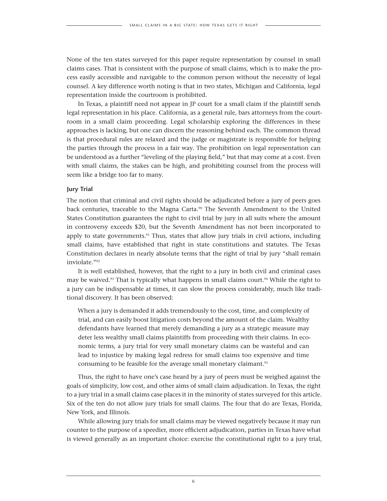None of the ten states surveyed for this paper require representation by counsel in small claims cases. That is consistent with the purpose of small claims, which is to make the process easily accessible and navigable to the common person without the necessity of legal counsel. A key difference worth noting is that in two states, Michigan and California, legal representation inside the courtroom is prohibited.

In Texas, a plaintiff need not appear in JP court for a small claim if the plaintiff sends legal representation in his place. California, as a general rule, bars attorneys from the courtroom in a small claim proceeding. Legal scholarship exploring the differences in these approaches is lacking, but one can discern the reasoning behind each. The common thread is that procedural rules are relaxed and the judge or magistrate is responsible for helping the parties through the process in a fair way. The prohibition on legal representation can be understood as a further "leveling of the playing field," but that may come at a cost. Even with small claims, the stakes can be high, and prohibiting counsel from the process will seem like a bridge too far to many.

#### **Jury Trial**

The notion that criminal and civil rights should be adjudicated before a jury of peers goes back centuries, traceable to the Magna Carta.<sup>90</sup> The Seventh Amendment to the United States Constitution guarantees the right to civil trial by jury in all suits where the amount in controversy exceeds \$20, but the Seventh Amendment has not been incorporated to apply to state governments. $91$  Thus, states that allow jury trials in civil actions, including small claims, have established that right in state constitutions and statutes. The Texas Constitution declares in nearly absolute terms that the right of trial by jury "shall remain inviolate."92

It is well established, however, that the right to a jury in both civil and criminal cases may be waived.<sup>93</sup> That is typically what happens in small claims court.<sup>94</sup> While the right to a jury can be indispensable at times, it can slow the process considerably, much like traditional discovery. It has been observed:

When a jury is demanded it adds tremendously to the cost, time, and complexity of trial, and can easily boost litigation costs beyond the amount of the claim. Wealthy defendants have learned that merely demanding a jury as a strategic measure may deter less wealthy small claims plaintiffs from proceeding with their claims. In economic terms, a jury trial for very small monetary claims can be wasteful and can lead to injustice by making legal redress for small claims too expensive and time consuming to be feasible for the average small monetary claimant.<sup>95</sup>

Thus, the right to have one's case heard by a jury of peers must be weighed against the goals of simplicity, low cost, and other aims of small claim adjudication. In Texas, the right to a jury trial in a small claims case places it in the minority of states surveyed for this article. Six of the ten do not allow jury trials for small claims. The four that do are Texas, Florida, New York, and Illinois.

While allowing jury trials for small claims may be viewed negatively because it may run counter to the purpose of a speedier, more efficient adjudication, parties in Texas have what is viewed generally as an important choice: exercise the constitutional right to a jury trial,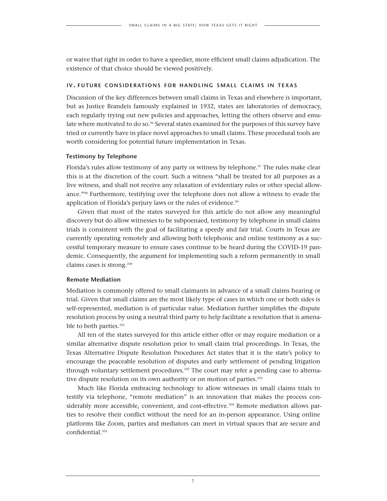or waive that right in order to have a speedier, more efficient small claims adjudication. The existence of that choice should be viewed positively.

#### **iv. future considerations for handling small claims in texas**

Discussion of the key differences between small claims in Texas and elsewhere is important, but as Justice Brandeis famously explained in 1932, states are laboratories of democracy, each regularly trying out new policies and approaches, letting the others observe and emulate where motivated to do so.<sup>96</sup> Several states examined for the purposes of this survey have tried or currently have in place novel approaches to small claims. These procedural tools are worth considering for potential future implementation in Texas.

#### **Testimony by Telephone**

Florida's rules allow testimony of any party or witness by telephone.<sup>97</sup> The rules make clear this is at the discretion of the court. Such a witness "shall be treated for all purposes as a live witness, and shall not receive any relaxation of evidentiary rules or other special allowance."98 Furthermore, testifying over the telephone does not allow a witness to evade the application of Florida's perjury laws or the rules of evidence.<sup>99</sup>

Given that most of the states surveyed for this article do not allow any meaningful discovery but do allow witnesses to be subpoenaed, testimony by telephone in small claims trials is consistent with the goal of facilitating a speedy and fair trial. Courts in Texas are currently operating remotely and allowing both telephonic and online testimony as a successful temporary measure to ensure cases continue to be heard during the COVID-19 pandemic. Consequently, the argument for implementing such a reform permanently in small claims cases is strong.100

#### **Remote Mediation**

Mediation is commonly offered to small claimants in advance of a small claims hearing or trial. Given that small claims are the most likely type of cases in which one or both sides is self-represented, mediation is of particular value. Mediation further simplifies the dispute resolution process by using a neutral third party to help facilitate a resolution that is amenable to both parties.<sup>101</sup>

All ten of the states surveyed for this article either offer or may require mediation or a similar alternative dispute resolution prior to small claim trial proceedings. In Texas, the Texas Alternative Dispute Resolution Procedures Act states that it is the state's policy to encourage the peaceable resolution of disputes and early settlement of pending litigation through voluntary settlement procedures.102 The court may refer a pending case to alternative dispute resolution on its own authority or on motion of parties.<sup>103</sup>

Much like Florida embracing technology to allow witnesses in small claims trials to testify via telephone, "remote mediation" is an innovation that makes the process considerably more accessible, convenient, and cost-effective.<sup>104</sup> Remote mediation allows parties to resolve their conflict without the need for an in-person appearance. Using online platforms like Zoom, parties and mediators can meet in virtual spaces that are secure and confidential.105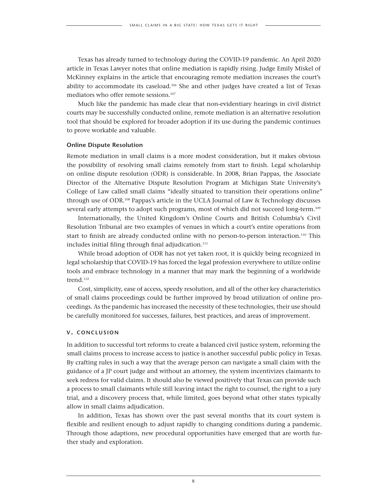Texas has already turned to technology during the COVID-19 pandemic. An April 2020 article in Texas Lawyer notes that online mediation is rapidly rising. Judge Emily Miskel of McKinney explains in the article that encouraging remote mediation increases the court's ability to accommodate its caseload.106 She and other judges have created a list of Texas mediators who offer remote sessions.<sup>107</sup>

Much like the pandemic has made clear that non-evidentiary hearings in civil district courts may be successfully conducted online, remote mediation is an alternative resolution tool that should be explored for broader adoption if its use during the pandemic continues to prove workable and valuable.

#### **Online Dispute Resolution**

Remote mediation in small claims is a more modest consideration, but it makes obvious the possibility of resolving small claims remotely from start to finish. Legal scholarship on online dispute resolution (ODR) is considerable. In 2008, Brian Pappas, the Associate Director of the Alternative Dispute Resolution Program at Michigan State University's College of Law called small claims "ideally situated to transition their operations online" through use of ODR.108 Pappas's article in the UCLA Journal of Law & Technology discusses several early attempts to adopt such programs, most of which did not succeed long-term.<sup>109</sup>

Internationally, the United Kingdom's Online Courts and British Columbia's Civil Resolution Tribunal are two examples of venues in which a court's entire operations from start to finish are already conducted online with no person-to-person interaction.110 This includes initial filing through final adjudication.<sup>111</sup>

While broad adoption of ODR has not yet taken root, it is quickly being recognized in legal scholarship that COVID-19 has forced the legal profession everywhere to utilize online tools and embrace technology in a manner that may mark the beginning of a worldwide trend.<sup>112</sup>

Cost, simplicity, ease of access, speedy resolution, and all of the other key characteristics of small claims proceedings could be further improved by broad utilization of online proceedings. As the pandemic has increased the necessity of these technologies, their use should be carefully monitored for successes, failures, best practices, and areas of improvement.

#### **v. conclusion**

In addition to successful tort reforms to create a balanced civil justice system, reforming the small claims process to increase access to justice is another successful public policy in Texas. By crafting rules in such a way that the average person can navigate a small claim with the guidance of a JP court judge and without an attorney, the system incentivizes claimants to seek redress for valid claims. It should also be viewed positively that Texas can provide such a process to small claimants while still leaving intact the right to counsel, the right to a jury trial, and a discovery process that, while limited, goes beyond what other states typically allow in small claims adjudication.

In addition, Texas has shown over the past several months that its court system is flexible and resilient enough to adjust rapidly to changing conditions during a pandemic. Through those adaptions, new procedural opportunities have emerged that are worth further study and exploration.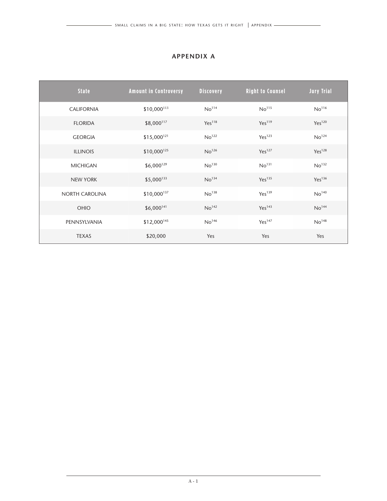## **APPENDIX A**

| <b>State</b>      | <b>Amount in Controversy</b> | <b>Discovery</b>   | <b>Right to Counsel</b> | <b>Jury Trial</b>  |
|-------------------|------------------------------|--------------------|-------------------------|--------------------|
| <b>CALIFORNIA</b> | $$10,000$ <sup>113</sup>     | No <sup>114</sup>  | No <sup>115</sup>       | No <sup>116</sup>  |
| <b>FLORIDA</b>    | \$8,000117                   | Yes <sup>118</sup> | Yes <sup>119</sup>      | Yes <sup>120</sup> |
| <b>GEORGIA</b>    | $$15,000^{121}$              | No <sup>122</sup>  | Yes <sup>123</sup>      | No <sup>124</sup>  |
| <b>ILLINOIS</b>   | $$10,000^{125}$              | No <sup>126</sup>  | Yes <sup>127</sup>      | Yes <sup>128</sup> |
| <b>MICHIGAN</b>   | $$6,000^{129}$$              | No <sup>130</sup>  | No <sup>131</sup>       | No <sup>132</sup>  |
| <b>NEW YORK</b>   | $$5,000$ <sup>133</sup>      | No <sup>134</sup>  | Yes <sup>135</sup>      | Yes <sup>136</sup> |
| NORTH CAROLINA    | $$10,000$ <sup>137</sup>     | No <sup>138</sup>  | Yes <sup>139</sup>      | No <sup>140</sup>  |
| <b>OHIO</b>       | $$6,000^{141}$               | No <sup>142</sup>  | Yes <sup>143</sup>      | No <sup>144</sup>  |
| PENNSYLVANIA      | \$12,000145                  | No <sup>146</sup>  | Yes <sup>147</sup>      | No <sup>148</sup>  |
| <b>TEXAS</b>      | \$20,000                     | Yes                | Yes                     | Yes                |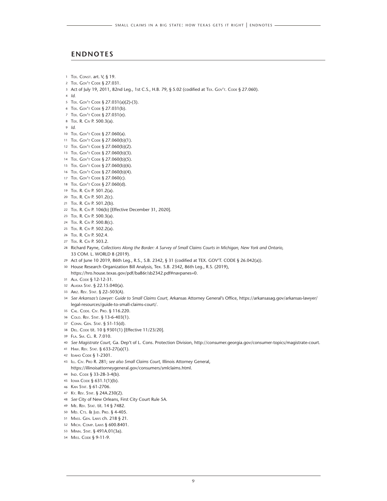#### **ENDNOTES**

- 1 TEX. CONST. art. V, § 19.
- 2 TEX. GOV'T CODE § 27.031.
- 3 Act of July 19, 2011, 82nd Leg., 1st C.S., H.B. 79, § 5.02 (codified at TEX. Gov'T. CoDE § 27.060).
- *Id.*
- Tex. Gov't Code § 27.031(a)(2)-(3).
- Tex. Gov't Code § 27.031(b).
- Tex. Gov't Code § 27.031(e).
- Tex. R. Civ P. 500.3(a).
- *Id.*
- Tex. Gov't Code § 27.060(a).
- 11 TEX. GOV'T CODE § 27.060(b)(1).
- 12 TEX. GOV'T CODE § 27.060(b)(2).
- 13 TEX. GOV'T CODE § 27.060(b)(3).
- 14 TEX. GOV'T CODE § 27.060(b)(5).
- 15 TEX. GOV'T CODE § 27.060(b)(6).
- Tex. Gov't Code § 27.060(b)(4).
- Tex. Gov't Code § 27.060(c).
- 18 TEX. GOV'T CODE § 27.060(d).
- Tex. R. Civ P. 501.2(a).
- Tex. R. Civ P. 501.2(c).
- Tex. R. Civ P. 501.2(b).
- Tex. R. Civ P. 106(b) [Effective December 31, 2020].
- Tex. R. Civ P. 500.3(a).
- Tex. R. Civ P. 500.8(c).
- Tex. R. Civ P. 502.2(a).
- Tex. R. Civ P. 502.4.
- Tex. R. Civ P. 503.2.
- Richard Payne, *Collections Along the Border: A Survey of Small Claims Courts in Michigan, New York and Ontario,* 33 COM. L. WORLD 8 (2019).
- Act of June 10 2019, 86th Leg., R.S., S.B. 2342, § 31 (codified at TEX. GOV'T. CODE § 26.042(a)).
- House Research Organization Bill Analysis, Tex. S.B. 2342, 86th Leg., R.S. (2019), https://hro.house.texas.gov/pdf/ba86r/sb2342.pdf#navpanes=0.
- Ala. Code § 12-12-31.
- Alaska Stat. § 22.15.040(a).
- Ariz. Rev. Stat. § 22–503(A).
- *See Arkansas's Lawyer: Guide to Small Claims Court,* Arkansas Attorney General's Office, https://arkansasag.gov/arkansas-lawyer/ legal-resources/guide-to-small-claims-court/.
- Cal. Code. Civ. Pro. § 116.220.
- Colo. Rev. Stat. § 13-6-403(1).
- Conn. Gen. Stat. § 51-15(d).
- Del. Code tit. 10 § 9301(1) [Effective 11/23/20].
- Fla. Sm. Cl. R. 7.010.
- *See Magistrate Court,* Ga. Dep't of L. Cons. Protection Division, http://consumer.georgia.gov/consumer-topics/magistrate-court.
- Haw. Rev. Stat. § 633-27(a)(1).
- Idaho Code § 1-2301.
- Ill. Civ. Pro R. 281; *see also Small Claims Court,* Illinois Attorney General, https://illinoisattorneygeneral.gov/consumers/smlclaims.html.
- Ind. Code § 33-28-3-4(b).
- 45 Iowa Code § 631.1(1)(b).
- Kan Stat. § 61-2706.
- Ky. Rev. Stat. § 24A.230(2).
- *See* City of New Orleans, First City Court Rule 5A.
- Me. Rev. Stat. tit. 14 § 7482.
- Md. Cts. & Jud. Pro. § 4-405.
- Mass. Gen. Laws ch. 218 § 21.
- Mich. Comp. Laws § 600.8401.
- Minn. Stat. § 491A.01(3a).
- 54 Miss. Code § 9-11-9.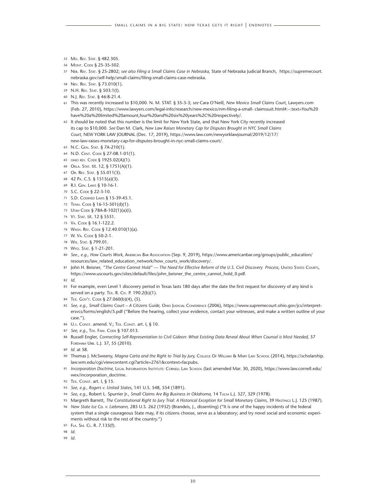- 55 Mo. Rev. Stat. § 482.305.
- 56 Mont. Code § 25-35-502.
- 57 Neb. Rev. Stat. § 25-2802; *see also Filing a Small Claims Case in Nebraska,* State of Nebraska Judicial Branch, https://supremecourt. nebraska.gov/self-help/small-claims/filing-small-claims-case-nebraska.
- 58 Nev. Rev. Stat. § 73.010(1).
- 59 N.H. Rev. Stat. § 503:1(I).
- 60 N.J. Rev. Stat. § 46:8-21.4.
- 61 This was recently increased to \$10,000. N. M. STAT. § 35-3-3; *see* Cara O'Neill, *New Mexico Small Claims Court,* Lawyers.com (Feb. 27, 2010), https://www.lawyers.com/legal-info/research/new-mexico/nm-filing-a-small- claimssuit.html#:~:text=You%20 have%20a%20limited%20amount,four%20and%20six%20years%2C%20respectively/.
- 62 It should be noted that this number is the limit for New York State, and that New York City recently increased its cap to \$10,000. *See* Dan M. Clark, *New Law Raises Monetary Cap for Disputes Brought in NYC Small Claims Court,* NEW YORK LAW JOURNAL (Dec. 17, 2019), https://www.law.com/newyorklawjournal/2019/12/17/ new-law-raises-monetary-cap-for-disputes-brought-in-nyc-small-claims-court/.
- 63 N.C. Gen. Stat. § 7A-210(1).
- 64 N.D. Cent. Code § 27-08.1-01(1).
- 65 ohio rev. Code § 1925.02(A)(1).
- 66 Okla. Stat. tit. 12, § 1751(A)(1).
- 67 Or. Rev. Stat. § 55.011(3).
- 68 42 Pa. C.S. § 1515(a)(3).
- 69 R.I. Gen. Laws § 10-16-1*.*
- 70 S.C. CODE § 22-3-10.
- 71 S.D. Codified Laws § 15-39-45.1.
- 72 Tenn. Code § 16-15-501(d)(1).
- 73 Utah Code § 78A-8-102(1)(a)(i).
- 74 Vt. Stat. tit. 12 § 5531.
- 75 Va. Code § 16.1-122.2.
- 76 Wash. Rev. Code § 12.40.010(1)(a).
- 77 W. Va. Code § 50-2-1.
- 78 Wis. Stat. § 799.01.
- 79 Wyo. Stat. § 1-21-201.
- 80 *See., e.g., How Courts Work,* American Bar Association (Sep. 9, 2019), https://www.americanbar.org/groups/public\_education/ resources/law\_related\_education\_network/how\_courts\_work/discovery/.
- 81 John H. Beisner, "The Centre Cannot Hold" The Need for Effective Reform of the U.S. Civil Discovery Process, United States Courts, https://www.uscourts.gov/sites/default/files/john\_beisner\_the\_centre\_cannot\_hold\_0.pdf.

82 *Id.*

- 83 For example, even Level 1 discovery period in Texas lasts 180 days after the date the first request for discovery of any kind is served on a party. T<sub>EX</sub>, R, C<sub>IV</sub>, P, 190.2(b)(1).
- 84 TEX. GOV'T. CODE § 27.060(b)(4), (5).
- 85 *See, e.g., Small Claims Court A Citizens Guide,* Ohio Judicial Conference (2006), https://www.supremecourt.ohio.gov/jcs/interpretersvcs/forms/english/5.pdf ("Before the hearing, collect your evidence, contact your witnesses, and make a written outline of your case.").
- 86 U.s. Const. amend. V.; TEX. Const. art. I, § 10.
- 87 *See, e.g.*, TEX. FAM. CODE § 107.013.
- 88 Russell Engler, *Connecting Self-Representation to Civil Gideon: What Existing Data Reveal About When Counsel is Most Needed,* 37 Fordham Urb. L.J. 37, 55 (2010).
- 89 *Id.* at 58.
- 90 Thomas J. McSweeny, Magna Carta and the Right to Trial by Jury, COLLEGE OF WILLIAM & MARY LAW SCHOOL (2014), https://scholarship. law.wm.edu/cgi/viewcontent.cgi?article=2761&context=facpubs.
- 91 Incorporation Doctrine, LEGAL INFORMATION INSTITUTE: CORNELL LAW SCHOOL (last amended Mar. 30, 2020), https://www.law.cornell.edu/ wex/incorporation\_doctrine.
- 92 TEX. CONST. art. I, § 15.
- 93 *See, e.g., Rogers v. United States,* 141 U.S. 548, 554 (1891).
- 94 *See, e.g.*, Robert L. Spurrier Jr., *Small Claims Are Big Business in Oklahoma,* 14 Tulsa L.J. 327, 329 (1978).
- 95 Margreth Barrett, The Constitutional Right to Jury Trial: A Historical Exception for Small Monetary Claims, 39 HASTINGS L.J. 125 (1987). 96 *New State Ice Co. v. Liebmann,* 285 U.S. 262 (1932) (Brandeis, J., dissenting) ("It is one of the happy incidents of the federal
- system that a single courageous State may, if its citizens choose, serve as a laboratory; and try novel social and economic experiments without risk to the rest of the country.")
- 97 FLA. SM. CL. R. 7.135(f).

98 *Id.*

99 *Id*.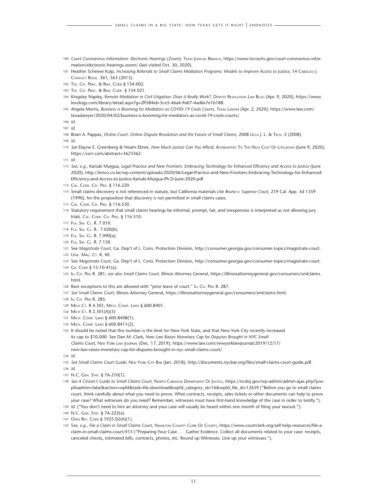- 100 Court Coronavirus Information: Electronic Hearings (Zoom), TEXAS JUDICIAL BRANCH, https://www.txcourts.qov/court-coronavirus-information/electronic-hearings-zoom/ (last visited Oct. 30, 2020).
- 101 Heather Scheiwe Kulp, Increasing Referrals to Small Claims Mediation Programs: Models to Improve Access to Justice, 14 CARDOZO J. Conflict Resol. 361, 363 (2013).
- 102 Tex. Civ. Prac. & Rem. Code § 154.002.
- 103 Tex. Civ. Prac. & Rem. Code § 154.021.
- 104 Kingsley Napley, Remote Mediation in Civil Litigation: Does it Really Work?, DISPUTE RESOLUTION LAW BLOG (Apr. 9, 2020), https://www. lexology.com/library/detail.aspx?g=2ff584eb-5ce5-46a4-9a07-4ad6e7e1b188.
- 105 Angela Morris, *Business is Booming for Mediators as COVID-19 Cools Courts,* Texas Lawyer (Apr. 2, 2020), https://www.law.com/ texaslawyer/2020/04/02/business-is-booming-for-mediators-as-covid-19-cools-courts/.
- 106 *Id.*

107 *Id.*

108 Brian A. Pappas, *Online Court: Online Dispute Resolution and the Future of Small Claims, 2008 Ucla J. L. & TECH. 2 (2008).* 

109 *Id*.

- 110 *See* Elayne E. Greenberg & Noam Ebner, *How Much Justice Can You Afford,* Alternatives To The High Cost Of Litigation (June 9, 2020), https://ssrn.com/abstract=3623362.
- 111 *Id.*
- 112 *See, e.g.,* Kariuki Muigua, *Legal Practice and New Frontiers: Embracing Technology for Enhanced Efficiency and Access to Justice* (June 2020), http://kmco.co.ke/wp-content/uploads/2020/06/Legal-Practice-and-New-Frontiers-Embracing-Technology-for-Enhanced-Efficiency-and-Access-to-Justice-Kariuki-Muigua-Ph.D-June-2020.pdf.
- 113 Cal. Code. Civ. Pro. § 116.220.
- 114 Small claims discovery is not referenced in statute, but California materials cite *Bruno v. Superior Court,* 219 Cal. App. 3d 1359 (1990), for the proposition that discovery is not permitted in small claims cases.
- 115 Cal. Code. Civ. Pro. § 116.530.
- 116 Statutory requirement that small claims hearings be informal, prompt, fair, and inexpensive is interpreted as not allowing jury trials. CAL. CODE. CIV. PRO. § 116.510.
- 117 Fla. Sm. Cl. R. 7.010.
- 118 Fla. Sm. Cl. R.. 7.020(b).
- 119 Fla. Sm. Cl. R. 7.090(a).
- 120 Fla. Sm. Cl. R. 7.150.
- 121 See *Magistrate Court,* Ga. Dep't of L. Cons. Protection Division, http://consumer.georgia.gov/consumer-topics/magistrate-court.
- 122 UNIF. MAG. CT. R. 40.
- 123 See *Magistrate Court,* Ga. Dep't of L. Cons. Protection Division, http://consumer.georgia.gov/consumer-topics/magistrate-court.
- 124 GA. CODE § 15-10-41(a).
- 125 Ill Civ. Pro R. 281; *see also Small Claims Court,* Illinois Attorney General, https://illinoisattorneygeneral.gov/consumers/smlclaims. html.
- 126 Rare exceptions to this are allowed with "prior leave of court." ILL CIV. Pro R. 287.
- 127 *See Small Claims Court,* Illinois Attorney General, https://illinoisattorneygeneral.gov/consumers/smlclaims.html.
- 128 Ill Civ. Pro R. 285.
- 129 MICH CT. R 4.301; MICH. COMP. LAWS § 600.8401.
- 130 MICH CT. R 2.301(A)(3)
- 131 Mich. Comp. Laws § 600.8408(1).
- 132 Mich. Comp. Laws § 600.8411(2).
- 133 It should be noted that this number is the limit for New York State, and that New York City recently increased its cap to \$10,000. See Dan M. Clark, *New Law Raises Monetary Cap for Disputes Brought in NYC Small Claims Court,* New York Law Journal (Dec. 17, 2019), https://www.law.com/newyorklawjournal/2019/12/17/ new-law-raises-monetary-cap-for-disputes-brought-in-nyc-small-claims-court/.
- 134 *Id.*
- 135 *See Small Claims Court Guide,* New York City Bar (Jan. 2018), http://documents.nycbar.org/files/small-claims-court-guide.pdf.
- 136 *Id.*
- 137 N.C. Gen. Stat. § 7A-210(1).
- 138 *See A Citizen's Guide to Small Claims Court,* North Carolina Department Of Justice, https://ncdoj.gov/wp-admin/admin-ajax.php?juwpfisadmin=false&action=wpfd&task=file.download&wpfd\_category\_id=16&wpfd\_file\_id=12639 ("Before you go to small claims court, think carefully about what you need to prove. What contracts, receipts, sales tickets or other documents can help to prove your case? What witnesses do you need? Remember, witnesses must have first-hand knowledge of the case in order to testify.").
- 139 *Id.* ("You don't need to hire an attorney and your case will usually be heard within one month of filing your lawsuit.").
- 140 N.C. Gen. Stat. § 7A-222(a).
- 141 OHIO REV. CODE § 1925.02(A)(1).
- 142 See, e.g., File a Claim in Small Claims Court, HAMILTON COUNTY CLERK OF COURTS, https://www.courtclerk.org/self-help-resources/file-aclaim-in-small-claims-court/#15 ("Preparing Your Case . . . Gather Evidence. Collect all documents related to your case: receipts, canceled checks, estimated bills, contracts, photos, etc. Round up Witnesses. Line up your witnesses.").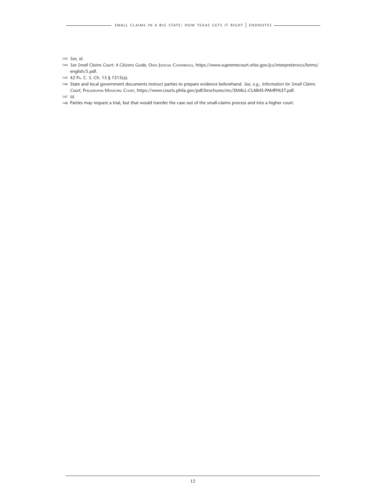- 42 Pa. C. S. Ch. 15 § 1515(a).
- State and local government documents instruct parties to prepare evidence beforehand. *See, e.g., Information for Small Claims Court,* Philadelphia Municipal Court, https://www.courts.phila.gov/pdf/brochures/mc/SMALL-CLAIMS-PAMPHLET.pdf.

*Id.*

Parties may request a trial, but that would transfer the case out of the small-claims process and into a higher court.

*See, id.*

 *See Small Claims Court: A Citizens Guide,* Ohio Judicial Conference, https://www.supremecourt.ohio.gov/jcs/interpretersvcs/forms/ english/5.pdf.